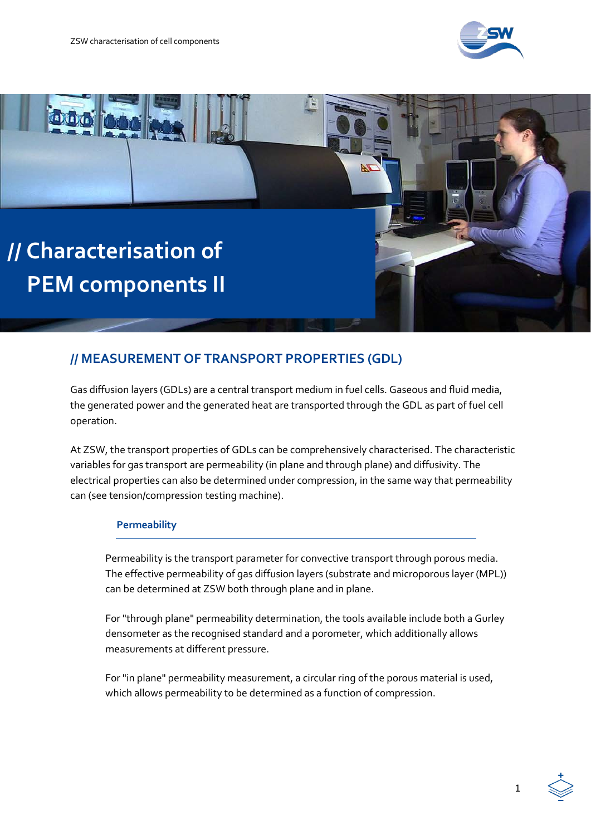



# **// MEASUREMENT OF TRANSPORT PROPERTIES (GDL)**

Gas diffusion layers (GDLs) are a central transport medium in fuel cells. Gaseous and fluid media, the generated power and the generated heat are transported through the GDL as part of fuel cell operation.

At ZSW, the transport properties of GDLs can be comprehensively characterised. The characteristic variables for gas transport are permeability (in plane and through plane) and diffusivity. The electrical properties can also be determined under compression, in the same way that permeability can (see tension/compression testing machine).

### **Permeability**

Permeability is the transport parameter for convective transport through porous media. The effective permeability of gas diffusion layers (substrate and microporous layer (MPL)) can be determined at ZSW both through plane and in plane.

For "through plane" permeability determination, the tools available include both a Gurley densometer as the recognised standard and a porometer, which additionally allows measurements at different pressure.

For "in plane" permeability measurement, a circular ring of the porous material is used, which allows permeability to be determined as a function of compression.